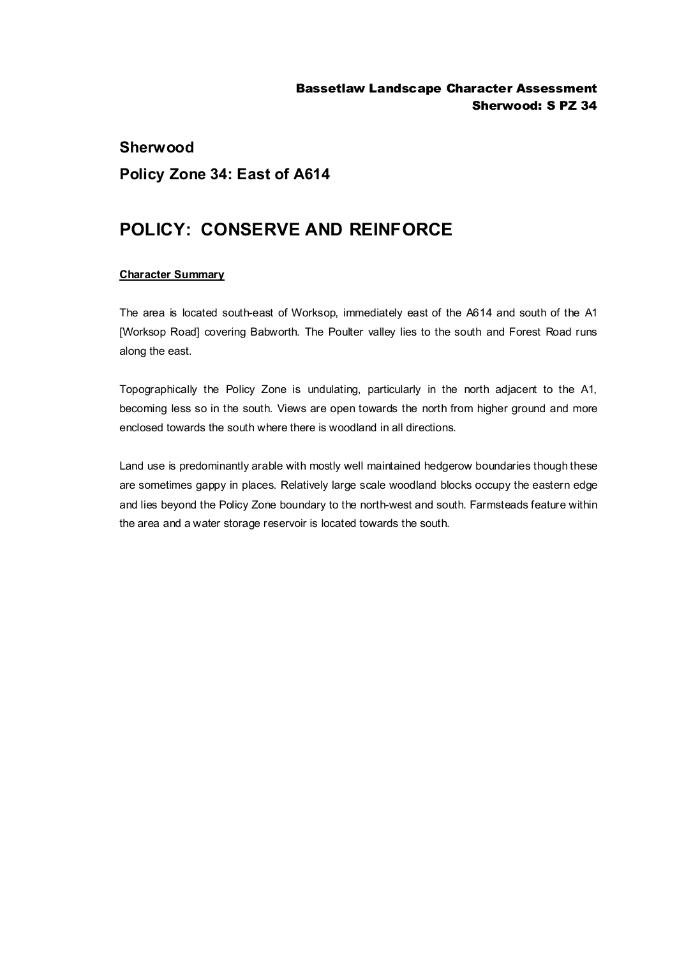## **Sherwood Policy Zone 34: East of A614**

## **POLICY: CONSERVE AND REINFORCE**

## **Character Summary**

The area is located south-east of Worksop, immediately east of the A614 and south of the A1 [Worksop Road] covering Babworth. The Poulter valley lies to the south and Forest Road runs along the east.

Topographically the Policy Zone is undulating, particularly in the north adjacent to the A1, becoming less so in the south. Views are open towards the north from higher ground and more enclosed towards the south where there is woodland in all directions.

Land use is predominantly arable with mostly well maintained hedgerow boundaries though these are sometimes gappy in places. Relatively large scale woodland blocks occupy the eastern edge and lies beyond the Policy Zone boundary to the north-west and south. Farmsteads feature within the area and a water storage reservoir is located towards the south.